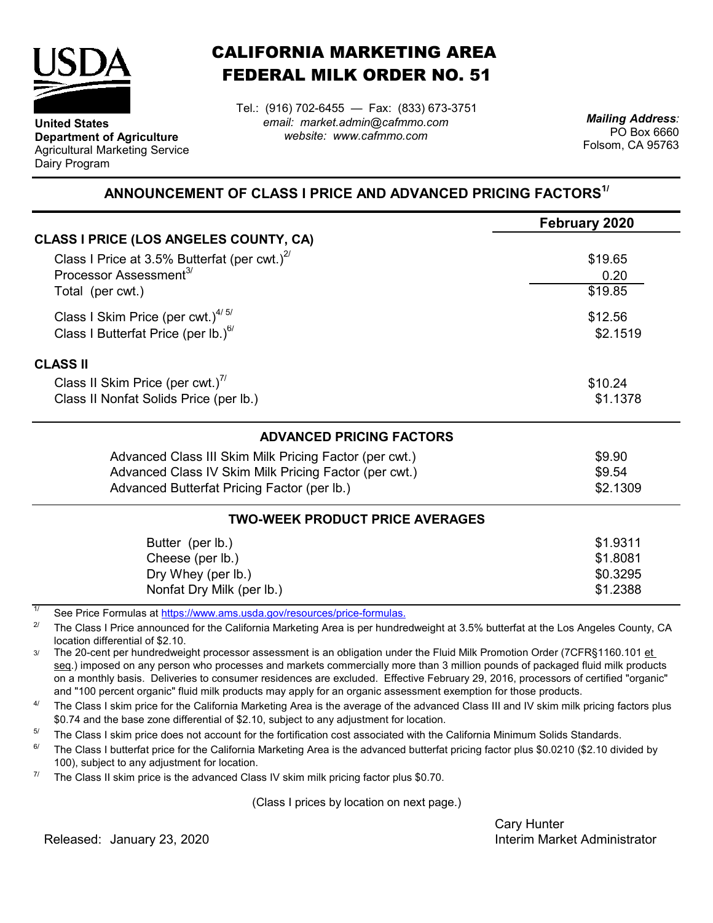

**United States**

Dairy Program

**Department of Agriculture** Agricultural Marketing Service

## CALIFORNIA MARKETING AREA FEDERAL MILK ORDER NO. 51

Tel.: (916) 702-6455 — Fax: (833) 673-3751 *email: market.admin@cafmmo.com website: www.cafmmo.com*

*Mailing Address:* PO Box 6660 Folsom, CA 95763

## **ANNOUNCEMENT OF CLASS I PRICE AND ADVANCED PRICING FACTORS1/**

|                                                        | February 2020 |
|--------------------------------------------------------|---------------|
| <b>CLASS I PRICE (LOS ANGELES COUNTY, CA)</b>          |               |
| Class I Price at 3.5% Butterfat (per cwt.) $2^{7}$     | \$19.65       |
| Processor Assessment <sup>3/</sup>                     | 0.20          |
| Total (per cwt.)                                       | \$19.85       |
| Class I Skim Price (per cwt.) $4/5/$                   | \$12.56       |
| Class I Butterfat Price (per lb.) $^{67}$              | \$2.1519      |
| <b>CLASS II</b>                                        |               |
| Class II Skim Price (per cwt.)"                        | \$10.24       |
| Class II Nonfat Solids Price (per lb.)                 | \$1.1378      |
| <b>ADVANCED PRICING FACTORS</b>                        |               |
| Advanced Class III Skim Milk Pricing Factor (per cwt.) | \$9.90        |
| Advanced Class IV Skim Milk Pricing Factor (per cwt.)  | \$9.54        |
| Advanced Butterfat Pricing Factor (per lb.)            | \$2.1309      |
| <b>TWO-WEEK PRODUCT PRICE AVERAGES</b>                 |               |
| Butter (per lb.)                                       | \$1.9311      |
| Cheese (per lb.)                                       | \$1.8081      |
| Dry Whey (per lb.)                                     | \$0.3295      |
| Nonfat Dry Milk (per lb.)                              | \$1.2388      |

1/ [See Price Formulas at h](https://www.ams.usda.gov/resources/price-formulas)ttps://www.ams.usda.gov/resources/price-formulas.

2/ The Class I Price announced for the California Marketing Area is per hundredweight at 3.5% butterfat at the Los Angeles County, CA location differential of \$2.10.

3/ The 20-cent per hundredweight processor assessment is an obligation under the Fluid Milk Promotion Order (7CFR§1160.101 et seq.) imposed on any person who processes and markets commercially more than 3 million pounds of packaged fluid milk products on a monthly basis. Deliveries to consumer residences are excluded. Effective February 29, 2016, processors of certified "organic" and "100 percent organic" fluid milk products may apply for an organic assessment exemption for those products.

4/ The Class I skim price for the California Marketing Area is the average of the advanced Class III and IV skim milk pricing factors plus \$0.74 and the base zone differential of \$2.10, subject to any adjustment for location.

5/ The Class I skim price does not account for the fortification cost associated with the California Minimum Solids Standards.

6/ The Class I butterfat price for the California Marketing Area is the advanced butterfat pricing factor plus \$0.0210 (\$2.10 divided by 100), subject to any adjustment for location.

7/ The Class II skim price is the advanced Class IV skim milk pricing factor plus \$0.70.

(Class I prices by location on next page.)

Cary Hunter Released: Interim Market Administrator January 23, 2020